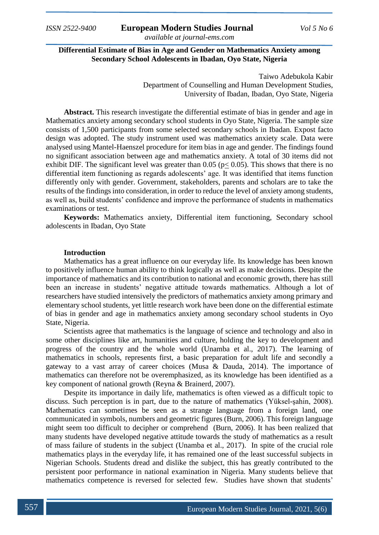# **Differential Estimate of Bias in Age and Gender on Mathematics Anxiety among Secondary School Adolescents in Ibadan, Oyo State, Nigeria**

Taiwo Adebukola Kabir Department of Counselling and Human Development Studies, University of Ibadan, Ibadan, Oyo State, Nigeria

**Abstract.** This research investigate the differential estimate of bias in gender and age in Mathematics anxiety among secondary school students in Oyo State, Nigeria. The sample size consists of 1,500 participants from some selected secondary schools in Ibadan. Expost facto design was adopted. The study instrument used was mathematics anxiety scale. Data were analysed using Mantel-Haenszel procedure for item bias in age and gender. The findings found no significant association between age and mathematics anxiety. A total of 30 items did not exhibit DIF. The significant level was greater than  $0.05$  ( $p < 0.05$ ). This shows that there is no differential item functioning as regards adolescents' age. It was identified that items function differently only with gender. Government, stakeholders, parents and scholars are to take the results of the findings into consideration, in order to reduce the level of anxiety among students, as well as, build students' confidence and improve the performance of students in mathematics examinations or test.

**Keywords:** Mathematics anxiety, Differential item functioning, Secondary school adolescents in Ibadan, Oyo State

### **Introduction**

Mathematics has a great influence on our everyday life. Its knowledge has been known to positively influence human ability to think logically as well as make decisions. Despite the importance of mathematics and its contribution to national and economic growth, there has still been an increase in students' negative attitude towards mathematics. Although a lot of researchers have studied intensively the predictors of mathematics anxiety among primary and elementary school students, yet little research work have been done on the differential estimate of bias in gender and age in mathematics anxiety among secondary school students in Oyo State, Nigeria.

Scientists agree that mathematics is the language of science and technology and also in some other disciplines like art, humanities and culture, holding the key to development and progress of the country and the whole world (Unamba et al., 2017). The learning of mathematics in schools, represents first, a basic preparation for adult life and secondly a gateway to a vast array of career choices (Musa & Dauda, 2014). The importance of mathematics can therefore not be overemphasized, as its knowledge has been identified as a key component of national growth (Reyna & Brainerd, 2007).

Despite its importance in daily life, mathematics is often viewed as a difficult topic to discuss. Such perception is in part, due to the nature of mathematics (Yüksel-şahin, 2008). Mathematics can sometimes be seen as a strange language from a foreign land, one communicated in symbols, numbers and geometric figures (Burn, 2006). This foreign language might seem too difficult to decipher or comprehend (Burn, 2006). It has been realized that many students have developed negative attitude towards the study of mathematics as a result of mass failure of students in the subject (Unamba et al., 2017). In spite of the crucial role mathematics plays in the everyday life, it has remained one of the least successful subjects in Nigerian Schools. Students dread and dislike the subject, this has greatly contributed to the persistent poor performance in national examination in Nigeria. Many students believe that mathematics competence is reversed for selected few. Studies have shown that students'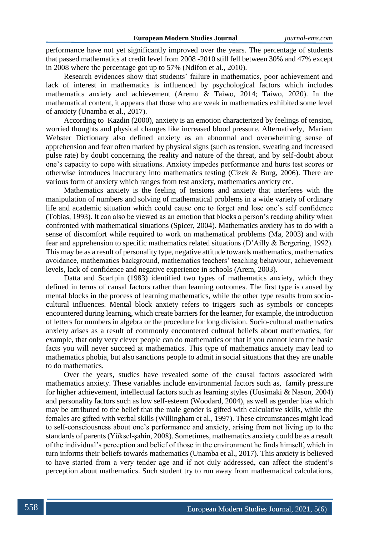performance have not yet significantly improved over the years. The percentage of students that passed mathematics at credit level from 2008 -2010 still fell between 30% and 47% except in 2008 where the percentage got up to 57% (Ndifon et al., 2010).

Research evidences show that students' failure in mathematics, poor achievement and lack of interest in mathematics is influenced by psychological factors which includes mathematics anxiety and achievement (Aremu & Taiwo, 2014; Taiwo, 2020). In the mathematical content, it appears that those who are weak in mathematics exhibited some level of anxiety (Unamba et al., 2017).

According to Kazdin (2000), anxiety is an emotion characterized by feelings of tension, worried thoughts and physical changes like increased blood pressure. Alternatively, Mariam Webster Dictionary also defined anxiety as an abnormal and overwhelming sense of apprehension and fear often marked by physical signs (such as tension, sweating and increased pulse rate) by doubt concerning the reality and nature of the threat, and by self-doubt about one's capacity to cope with situations. Anxiety impedes performance and hurts test scores or otherwise introduces inaccuracy into mathematics testing (Cizek & Burg, 2006). There are various form of anxiety which ranges from test anxiety, mathematics anxiety etc.

Mathematics anxiety is the feeling of tensions and anxiety that interferes with the manipulation of numbers and solving of mathematical problems in a wide variety of ordinary life and academic situation which could cause one to forget and lose one's self confidence (Tobias, 1993). It can also be viewed as an emotion that blocks a person's reading ability when confronted with mathematical situations (Spicer, 2004). Mathematics anxiety has to do with a sense of discomfort while required to work on mathematical problems (Ma, 2003) and with fear and apprehension to specific mathematics related situations (D'Ailly & Bergering, 1992). This may be as a result of personality type, negative attitude towards mathematics, mathematics avoidance, mathematics background, mathematics teachers' teaching behaviour, achievement levels, lack of confidence and negative experience in schools (Arem, 2003).

Datta and Scarfpin (1983) identified two types of mathematics anxiety, which they defined in terms of causal factors rather than learning outcomes. The first type is caused by mental blocks in the process of learning mathematics, while the other type results from sociocultural influences. Mental block anxiety refers to triggers such as symbols or concepts encountered during learning, which create barriers for the learner, for example, the introduction of letters for numbers in algebra or the procedure for long division. Socio-cultural mathematics anxiety arises as a result of commonly encountered cultural beliefs about mathematics, for example, that only very clever people can do mathematics or that if you cannot learn the basic facts you will never succeed at mathematics. This type of mathematics anxiety may lead to mathematics phobia, but also sanctions people to admit in social situations that they are unable to do mathematics.

Over the years, studies have revealed some of the causal factors associated with mathematics anxiety. These variables include environmental factors such as, family pressure for higher achievement, intellectual factors such as learning styles (Uusimaki & Nason, 2004) and personality factors such as low self-esteem (Woodard, 2004), as well as gender bias which may be attributed to the belief that the male gender is gifted with calculative skills, while the females are gifted with verbal skills (Willingham et al., 1997). These circumstances might lead to self-consciousness about one's performance and anxiety, arising from not living up to the standards of parents (Yüksel-şahin, 2008). Sometimes, mathematics anxiety could be as a result of the individual's perception and belief of those in the environment he finds himself, which in turn informs their beliefs towards mathematics (Unamba et al., 2017). This anxiety is believed to have started from a very tender age and if not duly addressed, can affect the student's perception about mathematics. Such student try to run away from mathematical calculations,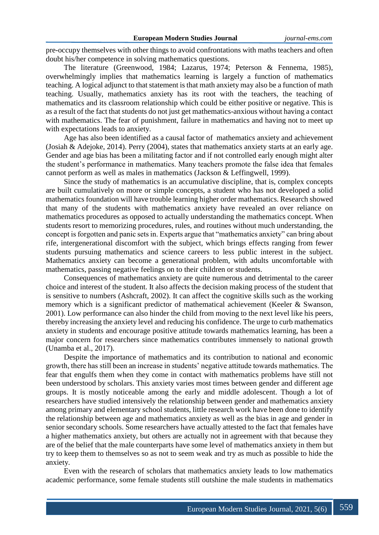pre-occupy themselves with other things to avoid confrontations with maths teachers and often doubt his/her competence in solving mathematics questions.

The literature (Greenwood, 1984; Lazarus, 1974; Peterson & Fennema, 1985), overwhelmingly implies that mathematics learning is largely a function of mathematics teaching. A logical adjunct to that statement is that math anxiety may also be a function of math teaching. Usually, mathematics anxiety has its root with the teachers, the teaching of mathematics and its classroom relationship which could be either positive or negative. This is as a result of the fact that students do not just get mathematics-anxious without having a contact with mathematics. The fear of punishment, failure in mathematics and having not to meet up with expectations leads to anxiety.

Age has also been identified as a causal factor of mathematics anxiety and achievement (Josiah & Adejoke, 2014). Perry (2004), states that mathematics anxiety starts at an early age. Gender and age bias has been a militating factor and if not controlled early enough might alter the student's performance in mathematics. Many teachers promote the false idea that females cannot perform as well as males in mathematics (Jackson & Leffingwell, 1999).

Since the study of mathematics is an accumulative discipline, that is, complex concepts are built cumulatively on more or simple concepts, a student who has not developed a solid mathematics foundation will have trouble learning higher order mathematics. Research showed that many of the students with mathematics anxiety have revealed an over reliance on mathematics procedures as opposed to actually understanding the mathematics concept. When students resort to memorizing procedures, rules, and routines without much understanding, the concept is forgotten and panic sets in. Experts argue that "mathematics anxiety" can bring about rife, intergenerational discomfort with the subject, which brings effects ranging from fewer students pursuing mathematics and science careers to less public interest in the subject. Mathematics anxiety can become a generational problem, with adults uncomfortable with mathematics, passing negative feelings on to their children or students.

Consequences of mathematics anxiety are quite numerous and detrimental to the career choice and interest of the student. It also affects the decision making process of the student that is sensitive to numbers (Ashcraft, 2002). It can affect the cognitive skills such as the working memory which is a significant predictor of mathematical achievement (Keeler & Swanson, 2001). Low performance can also hinder the child from moving to the next level like his peers, thereby increasing the anxiety level and reducing his confidence. The urge to curb mathematics anxiety in students and encourage positive attitude towards mathematics learning, has been a major concern for researchers since mathematics contributes immensely to national growth (Unamba et al., 2017).

Despite the importance of mathematics and its contribution to national and economic growth, there has still been an increase in students' negative attitude towards mathematics. The fear that engulfs them when they come in contact with mathematics problems have still not been understood by scholars. This anxiety varies most times between gender and different age groups. It is mostly noticeable among the early and middle adolescent. Though a lot of researchers have studied intensively the relationship between gender and mathematics anxiety among primary and elementary school students, little research work have been done to identify the relationship between age and mathematics anxiety as well as the bias in age and gender in senior secondary schools. Some researchers have actually attested to the fact that females have a higher mathematics anxiety, but others are actually not in agreement with that because they are of the belief that the male counterparts have some level of mathematics anxiety in them but try to keep them to themselves so as not to seem weak and try as much as possible to hide the anxiety.

Even with the research of scholars that mathematics anxiety leads to low mathematics academic performance, some female students still outshine the male students in mathematics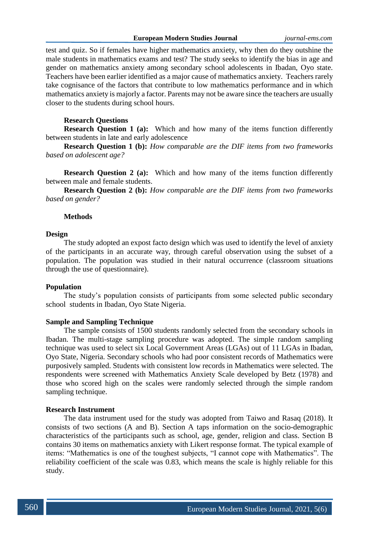test and quiz. So if females have higher mathematics anxiety, why then do they outshine the male students in mathematics exams and test? The study seeks to identify the bias in age and gender on mathematics anxiety among secondary school adolescents in Ibadan, Oyo state. Teachers have been earlier identified as a major cause of mathematics anxiety. Teachers rarely take cognisance of the factors that contribute to low mathematics performance and in which mathematics anxiety is majorly a factor. Parents may not be aware since the teachers are usually closer to the students during school hours.

## **Research Questions**

**Research Question 1 (a):** Which and how many of the items function differently between students in late and early adolescence

**Research Question 1 (b):** *How comparable are the DIF items from two frameworks based on adolescent age?*

**Research Question 2 (a):** Which and how many of the items function differently between male and female students.

**Research Question 2 (b):** *How comparable are the DIF items from two frameworks based on gender?*

### **Methods**

## **Design**

The study adopted an expost facto design which was used to identify the level of anxiety of the participants in an accurate way, through careful observation using the subset of a population. The population was studied in their natural occurrence (classroom situations through the use of questionnaire).

### **Population**

The study's population consists of participants from some selected public secondary school students in Ibadan, Oyo State Nigeria.

### **Sample and Sampling Technique**

The sample consists of 1500 students randomly selected from the secondary schools in Ibadan. The multi-stage sampling procedure was adopted. The simple random sampling technique was used to select six Local Government Areas (LGAs) out of 11 LGAs in Ibadan, Oyo State, Nigeria. Secondary schools who had poor consistent records of Mathematics were purposively sampled. Students with consistent low records in Mathematics were selected. The respondents were screened with Mathematics Anxiety Scale developed by Betz (1978) and those who scored high on the scales were randomly selected through the simple random sampling technique.

## **Research Instrument**

The data instrument used for the study was adopted from Taiwo and Rasaq (2018). It consists of two sections (A and B). Section A taps information on the socio-demographic characteristics of the participants such as school, age, gender, religion and class. Section B contains 30 items on mathematics anxiety with Likert response format. The typical example of items: "Mathematics is one of the toughest subjects, "I cannot cope with Mathematics". The reliability coefficient of the scale was 0.83, which means the scale is highly reliable for this study.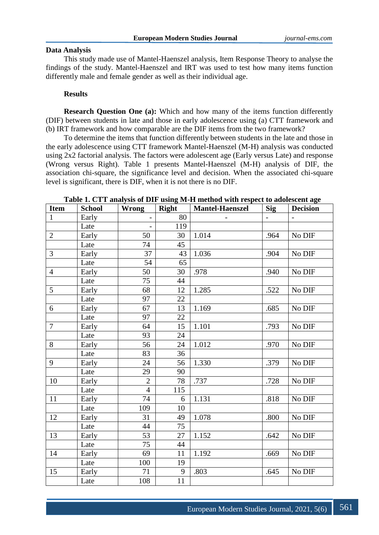## **Data Analysis**

This study made use of Mantel-Haenszel analysis, Item Response Theory to analyse the findings of the study. Mantel-Haenszel and IRT was used to test how many items function differently male and female gender as well as their individual age.

# **Results**

**Research Question One (a):** Which and how many of the items function differently (DIF) between students in late and those in early adolescence using (a) CTT framework and (b) IRT framework and how comparable are the DIF items from the two framework?

To determine the items that function differently between students in the late and those in the early adolescence using CTT framework Mantel-Haenszel (M-H) analysis was conducted using 2x2 factorial analysis. The factors were adolescent age (Early versus Late) and response (Wrong versus Right). Table 1 presents Mantel-Haenszel (M-H) analysis of DIF, the association chi-square, the significance level and decision. When the associated chi-square level is significant, there is DIF, when it is not there is no DIF.

| <b>Item</b>    | <b>School</b> | <b>Wrong</b>   | <b>Right</b> | <b>Mantel-Haenszel</b> | <b>Sig</b> | <b>Decision</b> |
|----------------|---------------|----------------|--------------|------------------------|------------|-----------------|
| $\mathbf{1}$   | Early         |                | 80           |                        |            |                 |
|                | Late          | $\overline{a}$ | 119          |                        |            |                 |
| $\sqrt{2}$     | Early         | 50             | 30           | 1.014                  | .964       | No DIF          |
|                | Late          | 74             | 45           |                        |            |                 |
| 3              | Early         | 37             | 43           | 1.036                  | .904       | No DIF          |
|                | Late          | 54             | 65           |                        |            |                 |
| $\overline{4}$ | Early         | 50             | 30           | .978                   | .940       | No DIF          |
|                | Late          | 75             | 44           |                        |            |                 |
| 5              | Early         | 68             | 12           | 1.285                  | .522       | No DIF          |
|                | Late          | 97             | 22           |                        |            |                 |
| 6              | Early         | 67             | 13           | 1.169                  | .685       | No DIF          |
|                | Late          | 97             | 22           |                        |            |                 |
| $\overline{7}$ | Early         | 64             | 15           | 1.101                  | .793       | No DIF          |
|                | Late          | 93             | 24           |                        |            |                 |
| 8              | Early         | 56             | 24           | 1.012                  | .970       | No DIF          |
|                | Late          | 83             | 36           |                        |            |                 |
| 9              | Early         | 24             | 56           | 1.330                  | .379       | No DIF          |
|                | Late          | 29             | 90           |                        |            |                 |
| 10             | Early         | $\overline{2}$ | 78           | .737                   | .728       | No DIF          |
|                | Late          | $\overline{4}$ | 115          |                        |            |                 |
| 11             | Early         | 74             | 6            | 1.131                  | .818       | No DIF          |
|                | Late          | 109            | 10           |                        |            |                 |
| 12             | Early         | 31             | 49           | 1.078                  | .800       | No DIF          |
|                | Late          | 44             | 75           |                        |            |                 |
| 13             | Early         | 53             | 27           | 1.152                  | .642       | No DIF          |
|                | Late          | 75             | 44           |                        |            |                 |
| 14             | Early         | 69             | 11           | 1.192                  | .669       | No DIF          |
|                | Late          | 100            | 19           |                        |            |                 |
| 15             | Early         | 71             | 9            | .803                   | .645       | No DIF          |
|                | Late          | 108            | 11           |                        |            |                 |

**Table 1. CTT analysis of DIF using M-H method with respect to adolescent age**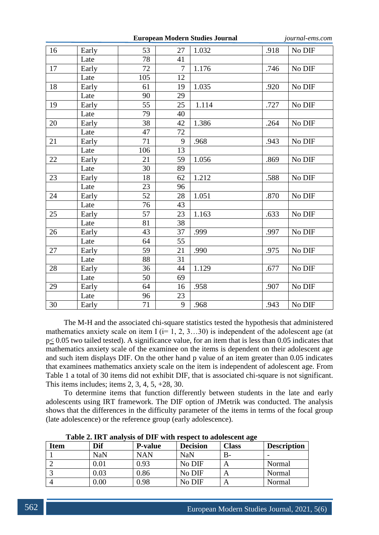| <b>European Modern Studies Journal</b> |       |     |                |       |      | journal-ems.com |
|----------------------------------------|-------|-----|----------------|-------|------|-----------------|
| 16                                     | Early | 53  | 27             | 1.032 | .918 | No DIF          |
|                                        | Late  | 78  | 41             |       |      |                 |
| 17                                     | Early | 72  | $\overline{7}$ | 1.176 | .746 | No DIF          |
|                                        | Late  | 105 | 12             |       |      |                 |
| 18                                     | Early | 61  | 19             | 1.035 | .920 | No DIF          |
|                                        | Late  | 90  | 29             |       |      |                 |
| 19                                     | Early | 55  | 25             | 1.114 | .727 | No DIF          |
|                                        | Late  | 79  | 40             |       |      |                 |
| 20                                     | Early | 38  | 42             | 1.386 | .264 | No DIF          |
|                                        | Late  | 47  | 72             |       |      |                 |
| 21                                     | Early | 71  | 9              | .968  | .943 | No DIF          |
|                                        | Late  | 106 | 13             |       |      |                 |
| 22                                     | Early | 21  | 59             | 1.056 | .869 | No DIF          |
|                                        | Late  | 30  | 89             |       |      |                 |
| 23                                     | Early | 18  | 62             | 1.212 | .588 | No DIF          |
|                                        | Late  | 23  | 96             |       |      |                 |
| 24                                     | Early | 52  | 28             | 1.051 | .870 | No DIF          |
|                                        | Late  | 76  | 43             |       |      |                 |
| 25                                     | Early | 57  | 23             | 1.163 | .633 | No DIF          |
|                                        | Late  | 81  | 38             |       |      |                 |
| 26                                     | Early | 43  | 37             | .999  | .997 | No DIF          |
|                                        | Late  | 64  | 55             |       |      |                 |
| 27                                     | Early | 59  | 21             | .990  | .975 | No DIF          |
|                                        | Late  | 88  | 31             |       |      |                 |
| 28                                     | Early | 36  | 44             | 1.129 | .677 | No DIF          |
|                                        | Late  | 50  | 69             |       |      |                 |
| 29                                     | Early | 64  | 16             | .958  | .907 | No DIF          |
|                                        | Late  | 96  | 23             |       |      |                 |
| 30                                     | Early | 71  | 9              | .968  | .943 | No DIF          |

The M-H and the associated chi-square statistics tested the hypothesis that administered mathematics anxiety scale on item I ( $i= 1, 2, 3...30$ ) is independent of the adolescent age (at  $p \le 0.05$  two tailed tested). A significance value, for an item that is less than 0.05 indicates that mathematics anxiety scale of the examinee on the items is dependent on their adolescent age and such item displays DIF. On the other hand p value of an item greater than 0.05 indicates that examinees mathematics anxiety scale on the item is independent of adolescent age. From Table 1 a total of 30 items did not exhibit DIF, that is associated chi-square is not significant. This items includes; items  $2, 3, 4, 5, +28, 30$ .

To determine items that function differently between students in the late and early adolescents using IRT framework. The DIF option of JMetrik was conducted. The analysis shows that the differences in the difficulty parameter of the items in terms of the focal group (late adolescence) or the reference group (early adolescence).

|             | Tuble 2. The underlying of DTI with respect to unorestent all |                |                 |              |                    |  |  |
|-------------|---------------------------------------------------------------|----------------|-----------------|--------------|--------------------|--|--|
| <b>Item</b> | Dif                                                           | <b>P-value</b> | <b>Decision</b> | <b>Class</b> | <b>Description</b> |  |  |
|             | NaN                                                           | <b>NAN</b>     | <b>NaN</b>      | В-           |                    |  |  |
|             | $0.01\,$                                                      | 0.93           | No DIF          |              | Normal             |  |  |
|             | 0.03                                                          | 0.86           | No DIF          | A            | Normal             |  |  |
|             | 0.00                                                          | 0.98           | No DIF          | A            | Normal             |  |  |

**Table 2. IRT analysis of DIF with respect to adolescent age**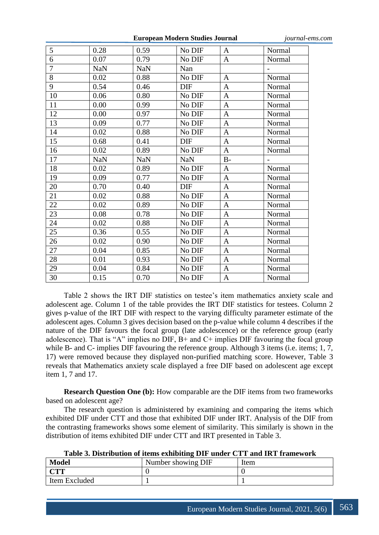**European Modern Studies Journal** *journal-ems.com*

| 5              | 0.28       | 0.59       | No DIF     | A            | Normal |
|----------------|------------|------------|------------|--------------|--------|
| 6              | 0.07       | 0.79       | No DIF     | $\mathbf{A}$ | Normal |
| $\overline{7}$ | <b>NaN</b> | <b>NaN</b> | Nan        |              |        |
| 8              | 0.02       | 0.88       | No DIF     | $\mathbf{A}$ | Normal |
| 9              | 0.54       | 0.46       | <b>DIF</b> | $\mathbf{A}$ | Normal |
| 10             | 0.06       | 0.80       | No DIF     | $\mathbf{A}$ | Normal |
| 11             | 0.00       | 0.99       | No DIF     | $\mathbf{A}$ | Normal |
| 12             | 0.00       | 0.97       | No DIF     | $\mathbf{A}$ | Normal |
| 13             | 0.09       | 0.77       | No DIF     | $\mathbf{A}$ | Normal |
| 14             | 0.02       | 0.88       | No DIF     | $\mathbf{A}$ | Normal |
| 15             | 0.68       | 0.41       | DIF        | $\mathbf{A}$ | Normal |
| 16             | 0.02       | 0.89       | No DIF     | $\mathbf{A}$ | Normal |
| 17             | <b>NaN</b> | <b>NaN</b> | <b>NaN</b> | $B-$         |        |
| 18             | 0.02       | 0.89       | No DIF     | $\mathbf{A}$ | Normal |
| 19             | 0.09       | 0.77       | No DIF     | $\mathbf{A}$ | Normal |
| 20             | 0.70       | 0.40       | <b>DIF</b> | $\mathbf{A}$ | Normal |
| 21             | 0.02       | 0.88       | No DIF     | $\mathbf{A}$ | Normal |
| 22             | 0.02       | 0.89       | No DIF     | $\mathbf{A}$ | Normal |
| 23             | 0.08       | 0.78       | No DIF     | $\mathbf{A}$ | Normal |
| 24             | 0.02       | 0.88       | No DIF     | $\mathbf{A}$ | Normal |
| 25             | 0.36       | 0.55       | No DIF     | $\mathbf{A}$ | Normal |
| 26             | 0.02       | 0.90       | No DIF     | A            | Normal |
| 27             | 0.04       | 0.85       | No DIF     | $\mathbf{A}$ | Normal |
| 28             | 0.01       | 0.93       | No DIF     | $\mathbf{A}$ | Normal |
| 29             | 0.04       | 0.84       | No DIF     | $\mathbf{A}$ | Normal |
| 30             | 0.15       | 0.70       | No DIF     | $\mathbf{A}$ | Normal |

Table 2 shows the IRT DIF statistics on testee's item mathematics anxiety scale and adolescent age. Column 1 of the table provides the IRT DIF statistics for testees. Column 2 gives p-value of the IRT DIF with respect to the varying difficulty parameter estimate of the adolescent ages. Column 3 gives decision based on the p-value while column 4 describes if the nature of the DIF favours the focal group (late adolescence) or the reference group (early adolescence). That is "A" implies no DIF,  $B<sup>+</sup>$  and  $C<sup>+</sup>$  implies DIF favouring the focal group while B- and C- implies DIF favouring the reference group. Although 3 items (i.e. items; 1, 7, 17) were removed because they displayed non-purified matching score. However, Table 3 reveals that Mathematics anxiety scale displayed a free DIF based on adolescent age except item 1, 7 and 17.

**Research Question One (b):** How comparable are the DIF items from two frameworks based on adolescent age?

The research question is administered by examining and comparing the items which exhibited DIF under CTT and those that exhibited DIF under IRT. Analysis of the DIF from the contrasting frameworks shows some element of similarity. This similarly is shown in the distribution of items exhibited DIF under CTT and IRT presented in Table 3.

| <b>Model</b><br>Number showing DIF<br>Item |  |  |
|--------------------------------------------|--|--|
| ann                                        |  |  |
| Item Excluded                              |  |  |

**Table 3. Distribution of items exhibiting DIF under CTT and IRT framework**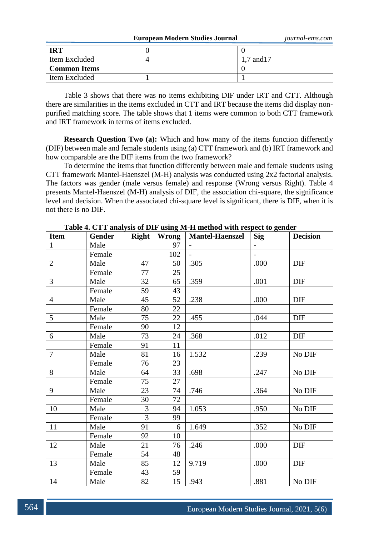**European Modern Studies Journal** *journal-ems.com*

| <b>IRT</b>          |           |
|---------------------|-----------|
| Item Excluded       | .7 and 17 |
| <b>Common Items</b> |           |
| Item Excluded       |           |

Table 3 shows that there was no items exhibiting DIF under IRT and CTT. Although there are similarities in the items excluded in CTT and IRT because the items did display nonpurified matching score. The table shows that 1 items were common to both CTT framework and IRT framework in terms of items excluded.

**Research Question Two (a):** Which and how many of the items function differently (DIF) between male and female students using (a) CTT framework and (b) IRT framework and how comparable are the DIF items from the two framework?

To determine the items that function differently between male and female students using CTT framework Mantel-Haenszel (M-H) analysis was conducted using 2x2 factorial analysis. The factors was gender (male versus female) and response (Wrong versus Right). Table 4 presents Mantel-Haenszel (M-H) analysis of DIF, the association chi-square, the significance level and decision. When the associated chi-square level is significant, there is DIF, when it is not there is no DIF.

| <b>Item</b>    | <b>Gender</b> | Right          | Wrong | <b>Mantel-Haenszel</b>   | <b>Sig</b>               | <b>Decision</b> |
|----------------|---------------|----------------|-------|--------------------------|--------------------------|-----------------|
| $\mathbf{1}$   | Male          |                | 97    | $\overline{\phantom{a}}$ | $\overline{\phantom{0}}$ |                 |
|                | Female        |                | 102   | $\overline{a}$           | $\overline{a}$           |                 |
| $\overline{2}$ | Male          | 47             | 50    | .305                     | .000                     | DIF             |
|                | Female        | 77             | 25    |                          |                          |                 |
| $\overline{3}$ | Male          | 32             | 65    | .359                     | .001                     | <b>DIF</b>      |
|                | Female        | 59             | 43    |                          |                          |                 |
| $\overline{4}$ | Male          | 45             | 52    | .238                     | .000                     | DIF             |
|                | Female        | 80             | 22    |                          |                          |                 |
| 5              | Male          | 75             | 22    | .455                     | .044                     | DIF             |
|                | Female        | 90             | 12    |                          |                          |                 |
| 6              | Male          | 73             | 24    | .368                     | .012                     | <b>DIF</b>      |
|                | Female        | 91             | 11    |                          |                          |                 |
| $\overline{7}$ | Male          | 81             | 16    | 1.532                    | .239                     | No DIF          |
|                | Female        | 76             | 23    |                          |                          |                 |
| 8              | Male          | 64             | 33    | .698                     | .247                     | No DIF          |
|                | Female        | 75             | 27    |                          |                          |                 |
| 9              | Male          | 23             | 74    | .746                     | .364                     | No DIF          |
|                | Female        | 30             | 72    |                          |                          |                 |
| 10             | Male          | 3              | 94    | 1.053                    | .950                     | No DIF          |
|                | Female        | $\overline{3}$ | 99    |                          |                          |                 |
| 11             | Male          | 91             | 6     | 1.649                    | .352                     | No DIF          |
|                | Female        | 92             | 10    |                          |                          |                 |
| 12             | Male          | 21             | 76    | .246                     | .000                     | DIF             |
|                | Female        | 54             | 48    |                          |                          |                 |
| 13             | Male          | 85             | 12    | 9.719                    | .000                     | <b>DIF</b>      |
|                | Female        | 43             | 59    |                          |                          |                 |
| 14             | Male          | 82             | 15    | .943                     | .881                     | No DIF          |

**Table 4. CTT analysis of DIF using M-H method with respect to gender**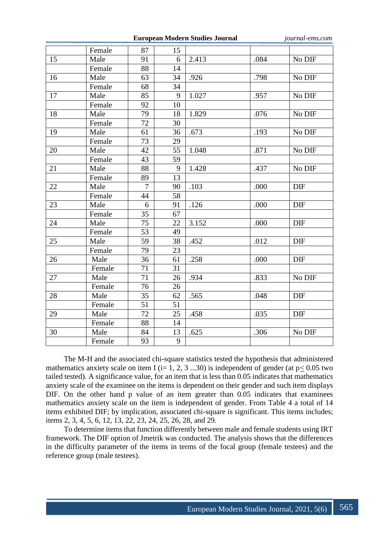**European Modern Studies Journal** *journal-ems.com*

|    | Female | 87              | 15              |       |      |            |
|----|--------|-----------------|-----------------|-------|------|------------|
| 15 | Male   | 91              | 6               | 2.413 | .084 | No DIF     |
|    | Female | 88              | 14              |       |      |            |
| 16 | Male   | 63              | 34              | .926  | .798 | No DIF     |
|    | Female | 68              | 34              |       |      |            |
| 17 | Male   | 85              | $\overline{9}$  | 1.027 | .957 | No DIF     |
|    | Female | 92              | 10              |       |      |            |
| 18 | Male   | 79              | 18              | 1.829 | .076 | No DIF     |
|    | Female | 72              | 30              |       |      |            |
| 19 | Male   | 61              | 36              | .673  | .193 | No DIF     |
|    | Female | 73              | 29              |       |      |            |
| 20 | Male   | 42              | 55              | 1.048 | .871 | No DIF     |
|    | Female | 43              | 59              |       |      |            |
| 21 | Male   | 88              | 9               | 1.428 | .437 | No DIF     |
|    | Female | 89              | $\overline{13}$ |       |      |            |
| 22 | Male   | $\overline{7}$  | 90              | .103  | .000 | DIF        |
|    | Female | 44              | 58              |       |      |            |
| 23 | Male   | 6               | 91              | .126  | .000 | <b>DIF</b> |
|    | Female | 35              | 67              |       |      |            |
| 24 | Male   | $\overline{75}$ | 22              | 3.152 | .000 | DIF        |
|    | Female | 53              | 49              |       |      |            |
| 25 | Male   | 59              | 38              | .452  | .012 | <b>DIF</b> |
|    | Female | 79              | 23              |       |      |            |
| 26 | Male   | 36              | 61              | .258  | .000 | <b>DIF</b> |
|    | Female | 71              | 31              |       |      |            |
| 27 | Male   | 71              | 26              | .934  | .833 | No DIF     |
|    | Female | 76              | 26              |       |      |            |
| 28 | Male   | $\overline{35}$ | 62              | .565  | .048 | <b>DIF</b> |
|    | Female | 51              | 51              |       |      |            |
| 29 | Male   | 72              | 25              | .458  | .035 | <b>DIF</b> |
|    | Female | 88              | 14              |       |      |            |
| 30 | Male   | 84              | 13              | .625  | .306 | No DIF     |
|    | Female | 93              | 9               |       |      |            |
|    |        |                 |                 |       |      |            |

The M-H and the associated chi-square statistics tested the hypothesis that administered mathematics anxiety scale on item I (i= 1, 2, 3 ...30) is independent of gender (at  $p \le 0.05$  two tailed tested). A significance value, for an item that is less than 0.05 indicates that mathematics anxiety scale of the examinee on the items is dependent on their gender and such item displays DIF. On the other hand p value of an item greater than 0.05 indicates that examinees mathematics anxiety scale on the item is independent of gender. From Table 4 a total of 14 items exhibited DIF; by implication, associated chi-square is significant. This items includes; items 2, 3, 4, 5, 6, 12, 13, 22, 23, 24, 25, 26, 28, and 29.

To determine items that function differently between male and female students using IRT framework. The DIF option of Jmetrik was conducted. The analysis shows that the differences in the difficulty parameter of the items in terms of the focal group (female testees) and the reference group (male testees).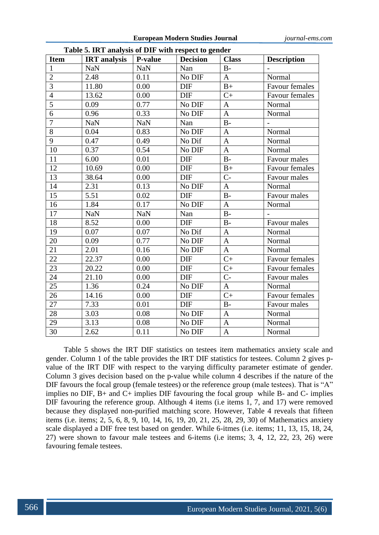|                 | <b>Table 5. IKT analysis of DIF with respect to gender</b> |                |                 |                |                       |  |  |  |
|-----------------|------------------------------------------------------------|----------------|-----------------|----------------|-----------------------|--|--|--|
| <b>Item</b>     | <b>IRT</b> analysis                                        | <b>P-value</b> | <b>Decision</b> | <b>Class</b>   | <b>Description</b>    |  |  |  |
| $\mathbf{1}$    | <b>NaN</b>                                                 | <b>NaN</b>     | Nan             | $\rm B$ -      |                       |  |  |  |
| $\overline{2}$  | 2.48                                                       | 0.11           | No DIF          | $\mathbf{A}$   | Normal                |  |  |  |
| 3               | 11.80                                                      | 0.00           | <b>DIF</b>      | $B+$           | <b>Favour females</b> |  |  |  |
| $\overline{4}$  | 13.62                                                      | 0.00           | <b>DIF</b>      | $C+$           | <b>Favour females</b> |  |  |  |
| $\overline{5}$  | 0.09                                                       | 0.77           | No DIF          | $\mathbf{A}$   | Normal                |  |  |  |
| 6               | 0.96                                                       | 0.33           | No DIF          | $\mathbf{A}$   | Normal                |  |  |  |
| $\overline{7}$  | <b>NaN</b>                                                 | <b>NaN</b>     | Nan             | $B-$           |                       |  |  |  |
| $\overline{8}$  | 0.04                                                       | 0.83           | No DIF          | $\mathbf{A}$   | Normal                |  |  |  |
| 9               | 0.47                                                       | 0.49           | No Dif          | $\mathbf{A}$   | Normal                |  |  |  |
| 10              | 0.37                                                       | 0.54           | No DIF          | $\mathbf{A}$   | Normal                |  |  |  |
| 11              | 6.00                                                       | 0.01           | <b>DIF</b>      | $B -$          | Favour males          |  |  |  |
| 12              | 10.69                                                      | 0.00           | <b>DIF</b>      | $B+$           | <b>Favour females</b> |  |  |  |
| 13              | 38.64                                                      | 0.00           | DIF             | $C-$           | Favour males          |  |  |  |
| 14              | 2.31                                                       | 0.13           | No DIF          | $\mathbf{A}$   | Normal                |  |  |  |
| 15              | 5.51                                                       | 0.02           | DIF             | $B-$           | Favour males          |  |  |  |
| 16              | 1.84                                                       | 0.17           | No DIF          | $\mathbf{A}$   | Normal                |  |  |  |
| 17              | <b>NaN</b>                                                 | <b>NaN</b>     | Nan             | $\overline{B}$ |                       |  |  |  |
| 18              | 8.52                                                       | 0.00           | <b>DIF</b>      | $B-$           | Favour males          |  |  |  |
| 19              | 0.07                                                       | 0.07           | No Dif          | $\mathbf{A}$   | Normal                |  |  |  |
| 20              | 0.09                                                       | 0.77           | No DIF          | $\mathbf{A}$   | Normal                |  |  |  |
| 21              | 2.01                                                       | 0.16           | No DIF          | $\mathbf{A}$   | Normal                |  |  |  |
| 22              | 22.37                                                      | 0.00           | DIF             | $C+$           | <b>Favour females</b> |  |  |  |
| $2\overline{3}$ | 20.22                                                      | 0.00           | <b>DIF</b>      | $C+$           | Favour females        |  |  |  |
| 24              | 21.10                                                      | 0.00           | <b>DIF</b>      | $C-$           | Favour males          |  |  |  |
| 25              | 1.36                                                       | 0.24           | No DIF          | $\mathbf{A}$   | Normal                |  |  |  |
| 26              | 14.16                                                      | 0.00           | DIF             | $C+$           | Favour females        |  |  |  |
| 27              | 7.33                                                       | 0.01           | <b>DIF</b>      | $B-$           | Favour males          |  |  |  |
| 28              | 3.03                                                       | 0.08           | No DIF          | $\mathbf{A}$   | Normal                |  |  |  |
| 29              | 3.13                                                       | 0.08           | No DIF          | $\mathbf{A}$   | Normal                |  |  |  |
| 30              | 2.62                                                       | 0.11           | No DIF          | $\mathbf{A}$   | Normal                |  |  |  |

**Table 5. IRT analysis of DIF with respect to gender**

Table 5 shows the IRT DIF statistics on testees item mathematics anxiety scale and gender. Column 1 of the table provides the IRT DIF statistics for testees. Column 2 gives pvalue of the IRT DIF with respect to the varying difficulty parameter estimate of gender. Column 3 gives decision based on the p-value while column 4 describes if the nature of the DIF favours the focal group (female testees) or the reference group (male testees). That is "A" implies no DIF,  $B<sub>+</sub>$  and  $C<sub>+</sub>$  implies DIF favouring the focal group while  $B<sub>-</sub>$  and  $C<sub>-</sub>$  implies DIF favouring the reference group. Although 4 items (i.e items 1, 7, and 17) were removed because they displayed non-purified matching score. However, Table 4 reveals that fifteen items (i.e. items; 2, 5, 6, 8, 9, 10, 14, 16, 19, 20, 21, 25, 28, 29, 30) of Mathematics anxiety scale displayed a DIF free test based on gender. While 6-itmes (i.e. items; 11, 13, 15, 18, 24, 27) were shown to favour male testees and 6-items (i.e items; 3, 4, 12, 22, 23, 26) were favouring female testees.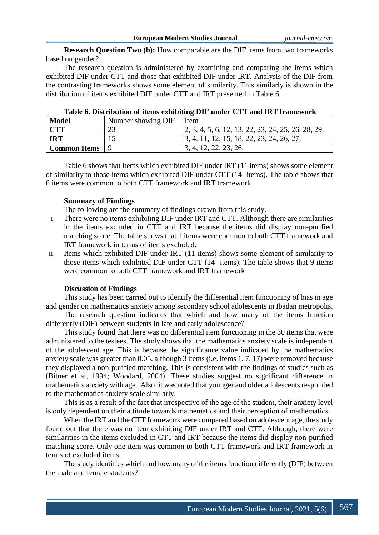**Research Question Two (b):** How comparable are the DIF items from two frameworks based on gender?

The research question is administered by examining and comparing the items which exhibited DIF under CTT and those that exhibited DIF under IRT. Analysis of the DIF from the contrasting frameworks shows some element of similarity. This similarly is shown in the distribution of items exhibited DIF under CTT and IRT presented in Table 6.

| <b>Model</b>          | Number showing DIF | Item                                                       |
|-----------------------|--------------------|------------------------------------------------------------|
| <b>CTT</b>            | 23                 | $\vert 2, 3, 4, 5, 6, 12, 13, 22, 23, 24, 25, 26, 28, 29.$ |
| <b>IRT</b>            |                    | 1 3, 4, 11, 12, 15, 18, 22, 23, 24, 26, 27.                |
| <b>Common Items</b> 9 |                    | 3, 4, 12, 22, 23, 26.                                      |

| Table 6. Distribution of items exhibiting DIF under CTT and IRT framework |  |  |
|---------------------------------------------------------------------------|--|--|
|                                                                           |  |  |

Table 6 shows that items which exhibited DIF under IRT (11 items) shows some element of similarity to those items which exhibited DIF under CTT (14- items). The table shows that 6 items were common to both CTT framework and IRT framework.

## **Summary of Findings**

The following are the summary of findings drawn from this study.

- i. There were no items exhibiting DIF under IRT and CTT. Although there are similarities in the items excluded in CTT and IRT because the items did display non-purified matching score. The table shows that 1 items were common to both CTT framework and IRT framework in terms of items excluded.
- ii. Items which exhibited DIF under IRT (11 items) shows some element of similarity to those items which exhibited DIF under CTT (14- items). The table shows that 9 items were common to both CTT framework and IRT framework

# **Discussion of Findings**

This study has been carried out to identify the differential item functioning of bias in age and gender on mathematics anxiety among secondary school adolescents in Ibadan metropolis.

The research question indicates that which and how many of the items function differently (DIF) between students in late and early adolescence?

This study found that there was no differential item functioning in the 30 items that were administered to the testees. The study shows that the mathematics anxiety scale is independent of the adolescent age. This is because the significance value indicated by the mathematics anxiety scale was greater than 0.05, although 3 items (i.e. items 1, 7, 17) were removed because they displayed a non-purified matching. This is consistent with the findings of studies such as (Bitner et al, 1994; Woodard, 2004). These studies suggest no significant difference in mathematics anxiety with age. Also, it was noted that younger and older adolescents responded to the mathematics anxiety scale similarly.

This is as a result of the fact that irrespective of the age of the student, their anxiety level is only dependent on their attitude towards mathematics and their perception of mathematics.

When the IRT and the CTT framework were compared based on adolescent age, the study found out that there was no item exhibiting DIF under IRT and CTT. Although, there were similarities in the items excluded in CTT and IRT because the items did display non-purified matching score. Only one item was common to both CTT framework and IRT framework in terms of excluded items.

The study identifies which and how many of the items function differently (DIF) between the male and female students?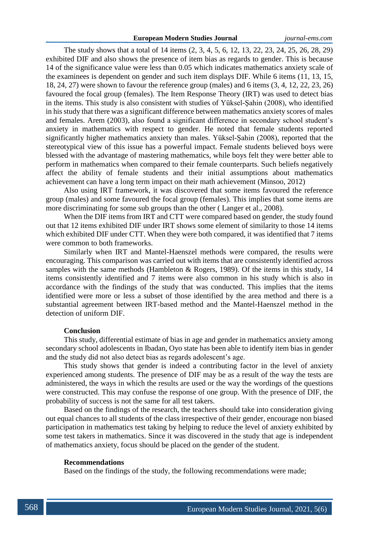The study shows that a total of 14 items (2, 3, 4, 5, 6, 12, 13, 22, 23, 24, 25, 26, 28, 29) exhibited DIF and also shows the presence of item bias as regards to gender. This is because 14 of the significance value were less than 0.05 which indicates mathematics anxiety scale of the examinees is dependent on gender and such item displays DIF. While 6 items (11, 13, 15, 18, 24, 27) were shown to favour the reference group (males) and 6 items (3, 4, 12, 22, 23, 26) favoured the focal group (females). The Item Response Theory (IRT) was used to detect bias in the items. This study is also consistent with studies of Yüksel-Şahin (2008), who identified in his study that there was a significant difference between mathematics anxiety scores of males and females. Arem (2003), also found a significant difference in secondary school student's anxiety in mathematics with respect to gender. He noted that female students reported significantly higher mathematics anxiety than males. Yüksel-Şahin (2008), reported that the stereotypical view of this issue has a powerful impact. Female students believed boys were blessed with the advantage of mastering mathematics, while boys felt they were better able to perform in mathematics when compared to their female counterparts. Such beliefs negatively affect the ability of female students and their initial assumptions about mathematics achievement can have a long term impact on their math achievement (Minsoo, 2012)

Also using IRT framework, it was discovered that some items favoured the reference group (males) and some favoured the focal group (females). This implies that some items are more discriminating for some sub groups than the other ( Langer et al., 2008).

When the DIF items from IRT and CTT were compared based on gender, the study found out that 12 items exhibited DIF under IRT shows some element of similarity to those 14 items which exhibited DIF under CTT. When they were both compared, it was identified that 7 items were common to both frameworks.

Similarly when IRT and Mantel-Haenszel methods were compared, the results were encouraging. This comparison was carried out with items that are consistently identified across samples with the same methods (Hambleton & Rogers, 1989). Of the items in this study, 14 items consistently identified and 7 items were also common in his study which is also in accordance with the findings of the study that was conducted. This implies that the items identified were more or less a subset of those identified by the area method and there is a substantial agreement between IRT-based method and the Mantel-Haenszel method in the detection of uniform DIF.

# **Conclusion**

This study, differential estimate of bias in age and gender in mathematics anxiety among secondary school adolescents in Ibadan, Oyo state has been able to identify item bias in gender and the study did not also detect bias as regards adolescent's age.

This study shows that gender is indeed a contributing factor in the level of anxiety experienced among students. The presence of DIF may be as a result of the way the tests are administered, the ways in which the results are used or the way the wordings of the questions were constructed. This may confuse the response of one group. With the presence of DIF, the probability of success is not the same for all test takers.

Based on the findings of the research, the teachers should take into consideration giving out equal chances to all students of the class irrespective of their gender, encourage non biased participation in mathematics test taking by helping to reduce the level of anxiety exhibited by some test takers in mathematics. Since it was discovered in the study that age is independent of mathematics anxiety, focus should be placed on the gender of the student.

### **Recommendations**

Based on the findings of the study, the following recommendations were made;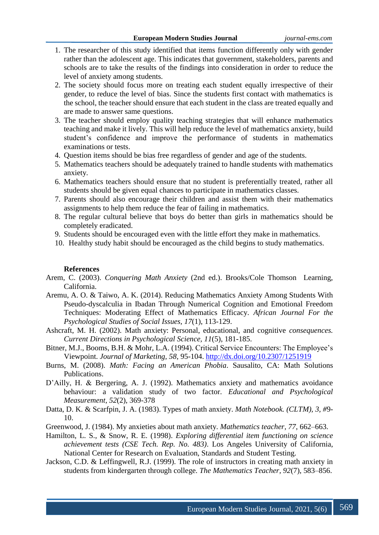- 1. The researcher of this study identified that items function differently only with gender rather than the adolescent age. This indicates that government, stakeholders, parents and schools are to take the results of the findings into consideration in order to reduce the level of anxiety among students.
- 2. The society should focus more on treating each student equally irrespective of their gender, to reduce the level of bias. Since the students first contact with mathematics is the school, the teacher should ensure that each student in the class are treated equally and are made to answer same questions.
- 3. The teacher should employ quality teaching strategies that will enhance mathematics teaching and make it lively. This will help reduce the level of mathematics anxiety, build student's confidence and improve the performance of students in mathematics examinations or tests.
- 4. Question items should be bias free regardless of gender and age of the students.
- 5. Mathematics teachers should be adequately trained to handle students with mathematics anxiety.
- 6. Mathematics teachers should ensure that no student is preferentially treated, rather all students should be given equal chances to participate in mathematics classes.
- 7. Parents should also encourage their children and assist them with their mathematics assignments to help them reduce the fear of failing in mathematics.
- 8. The regular cultural believe that boys do better than girls in mathematics should be completely eradicated.
- 9. Students should be encouraged even with the little effort they make in mathematics.
- 10. Healthy study habit should be encouraged as the child begins to study mathematics.

## **References**

- Arem, C. (2003). *Conquering Math Anxiety* (2nd ed.). Brooks/Cole Thomson Learning, California.
- Aremu, A. O. & Taiwo, A. K. (2014). Reducing Mathematics Anxiety Among Students With Pseudo-dyscalculia in Ibadan Through Numerical Cognition and Emotional Freedom Techniques: Moderating Effect of Mathematics Efficacy. *African Journal For the Psychological Studies of Social Issues, 17*(1), 113-129.
- Ashcraft, M. H. (2002). Math anxiety: Personal, educational, and cognitive *consequences. Current Directions in Psychological Science, 11*(5), 181-185.
- Bitner, M.J., Booms, B.H. & Mohr, L.A. (1994). Critical Service Encounters: The Employee's Viewpoint. *Journal of Marketing, 58*, 95-104.<http://dx.doi.org/10.2307/1251919>
- Burns, M. (2008). *Math: Facing an American Phobia*. Sausalito, CA: Math Solutions Publications.
- D'Ailly, H. & Bergering, A. J. (1992). Mathematics anxiety and mathematics avoidance behaviour: a validation study of two factor. *Educational and Psychological Measurement, 52*(2), 369-378
- Datta, D. K. & Scarfpin, J. A. (1983). Types of math anxiety. *Math Notebook. (CLTM), 3, #*9- 10.
- Greenwood, J. (1984). My anxieties about math anxiety. *Mathematics teacher, 77*, 662–663.
- Hamilton, L. S., & Snow, R. E. (1998). *Exploring differential item functioning on science achievement tests (CSE Tech. Rep. No. 483)*. Los Angeles University of California, National Center for Research on Evaluation, Standards and Student Testing.
- Jackson, C.D. & Leffingwell, R.J. (1999). The role of instructors in creating math anxiety in students from kindergarten through college. *The Mathematics Teacher, 92*(7), 583–856.